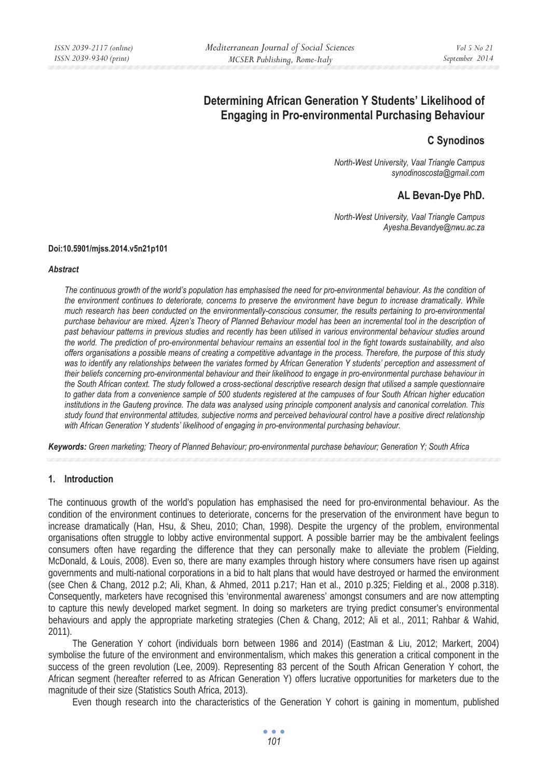# **Determining African Generation Y Students' Likelihood of Engaging in Pro-environmental Purchasing Behaviour**

# **C Synodinos**

*North-West University, Vaal Triangle Campus synodinoscosta@gmail.com* 

# **AL Bevan-Dye PhD.**

*North-West University, Vaal Triangle Campus Ayesha.Bevandye@nwu.ac.za* 

#### **Doi:10.5901/mjss.2014.v5n21p101**

#### *Abstract*

*The continuous growth of the world's population has emphasised the need for pro-environmental behaviour. As the condition of the environment continues to deteriorate, concerns to preserve the environment have begun to increase dramatically. While much research has been conducted on the environmentally-conscious consumer, the results pertaining to pro-environmental purchase behaviour are mixed. Ajzen's Theory of Planned Behaviour model has been an incremental tool in the description of past behaviour patterns in previous studies and recently has been utilised in various environmental behaviour studies around the world. The prediction of pro-environmental behaviour remains an essential tool in the fight towards sustainability, and also offers organisations a possible means of creating a competitive advantage in the process. Therefore, the purpose of this study was to identify any relationships between the variates formed by African Generation Y students' perception and assessment of their beliefs concerning pro-environmental behaviour and their likelihood to engage in pro-environmental purchase behaviour in the South African context. The study followed a cross-sectional descriptive research design that utilised a sample questionnaire to gather data from a convenience sample of 500 students registered at the campuses of four South African higher education institutions in the Gauteng province. The data was analysed using principle component analysis and canonical correlation. This study found that environmental attitudes, subjective norms and perceived behavioural control have a positive direct relationship with African Generation Y students' likelihood of engaging in pro-environmental purchasing behaviour.* 

*Keywords: Green marketing; Theory of Planned Behaviour; pro-environmental purchase behaviour; Generation Y; South Africa* 

### **1. Introduction**

The continuous growth of the world's population has emphasised the need for pro-environmental behaviour. As the condition of the environment continues to deteriorate, concerns for the preservation of the environment have begun to increase dramatically (Han, Hsu, & Sheu, 2010; Chan, 1998). Despite the urgency of the problem, environmental organisations often struggle to lobby active environmental support. A possible barrier may be the ambivalent feelings consumers often have regarding the difference that they can personally make to alleviate the problem (Fielding, McDonald, & Louis, 2008). Even so, there are many examples through history where consumers have risen up against governments and multi-national corporations in a bid to halt plans that would have destroyed or harmed the environment (see Chen & Chang, 2012 p.2; Ali, Khan, & Ahmed, 2011 p.217; Han et al., 2010 p.325; Fielding et al., 2008 p.318). Consequently, marketers have recognised this 'environmental awareness' amongst consumers and are now attempting to capture this newly developed market segment. In doing so marketers are trying predict consumer's environmental behaviours and apply the appropriate marketing strategies (Chen & Chang, 2012; Ali et al., 2011; Rahbar & Wahid, 2011).

The Generation Y cohort (individuals born between 1986 and 2014) (Eastman & Liu, 2012; Markert, 2004) symbolise the future of the environment and environmentalism, which makes this generation a critical component in the success of the green revolution (Lee, 2009). Representing 83 percent of the South African Generation Y cohort, the African segment (hereafter referred to as African Generation Y) offers lucrative opportunities for marketers due to the magnitude of their size (Statistics South Africa, 2013).

Even though research into the characteristics of the Generation Y cohort is gaining in momentum, published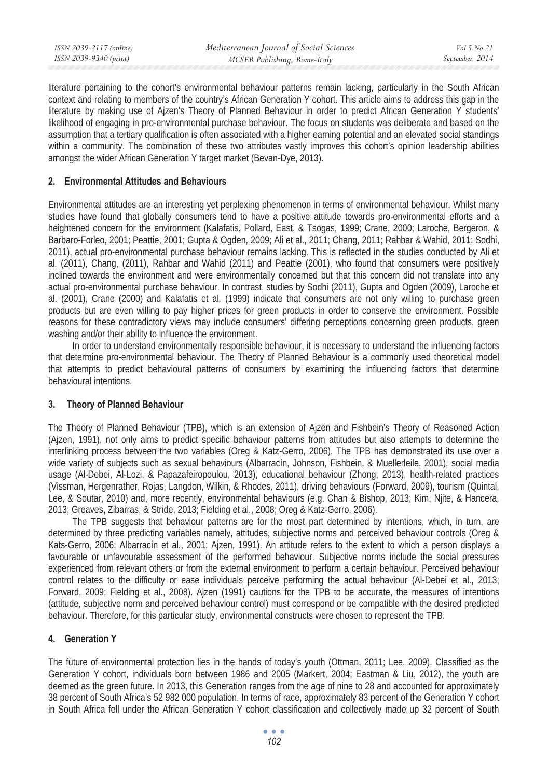| ISSN 2039-2117 (online) | Mediterranean Journal of Social Sciences | Vol 5 No 21    |
|-------------------------|------------------------------------------|----------------|
| ISSN 2039-9340 (print)  | MCSER Publishing, Rome-Italy             | September 2014 |

literature pertaining to the cohort's environmental behaviour patterns remain lacking, particularly in the South African context and relating to members of the country's African Generation Y cohort. This article aims to address this gap in the literature by making use of Ajzen's Theory of Planned Behaviour in order to predict African Generation Y students' likelihood of engaging in pro-environmental purchase behaviour. The focus on students was deliberate and based on the assumption that a tertiary qualification is often associated with a higher earning potential and an elevated social standings within a community. The combination of these two attributes vastly improves this cohort's opinion leadership abilities amongst the wider African Generation Y target market (Bevan-Dye, 2013).

## **2. Environmental Attitudes and Behaviours**

Environmental attitudes are an interesting yet perplexing phenomenon in terms of environmental behaviour. Whilst many studies have found that globally consumers tend to have a positive attitude towards pro-environmental efforts and a heightened concern for the environment (Kalafatis, Pollard, East, & Tsogas*,* 1999; Crane, 2000; Laroche, Bergeron, & Barbaro-Forleo, 2001; Peattie, 2001; Gupta & Ogden, 2009; Ali et al., 2011; Chang, 2011; Rahbar & Wahid, 2011; Sodhi, 2011), actual pro-environmental purchase behaviour remains lacking. This is reflected in the studies conducted by Ali et al*.* (2011), Chang, (2011), Rahbar and Wahid (2011) and Peattie (2001), who found that consumers were positively inclined towards the environment and were environmentally concerned but that this concern did not translate into any actual pro-environmental purchase behaviour. In contrast, studies by Sodhi (2011), Gupta and Ogden (2009), Laroche et al. (2001), Crane (2000) and Kalafatis et al*.* (1999) indicate that consumers are not only willing to purchase green products but are even willing to pay higher prices for green products in order to conserve the environment. Possible reasons for these contradictory views may include consumers' differing perceptions concerning green products, green washing and/or their ability to influence the environment.

In order to understand environmentally responsible behaviour, it is necessary to understand the influencing factors that determine pro-environmental behaviour. The Theory of Planned Behaviour is a commonly used theoretical model that attempts to predict behavioural patterns of consumers by examining the influencing factors that determine behavioural intentions.

### **3. Theory of Planned Behaviour**

The Theory of Planned Behaviour (TPB), which is an extension of Ajzen and Fishbein's Theory of Reasoned Action (Ajzen, 1991), not only aims to predict specific behaviour patterns from attitudes but also attempts to determine the interlinking process between the two variables (Oreg & Katz-Gerro, 2006). The TPB has demonstrated its use over a wide variety of subjects such as sexual behaviours (Albarracín, Johnson, Fishbein, & Muellerleile, 2001), social media usage (Al-Debei, Al-Lozi, & Papazafeiropoulou, 2013), educational behaviour (Zhong, 2013), health-related practices (Vissman, Hergenrather, Rojas, Langdon, Wilkin, & Rhodes*,* 2011), driving behaviours (Forward, 2009), tourism (Quintal, Lee, & Soutar, 2010) and, more recently, environmental behaviours (e.g. Chan & Bishop, 2013; Kim, Njite, & Hancera, 2013; Greaves, Zibarras, & Stride, 2013; Fielding et al*.*, 2008; Oreg & Katz-Gerro, 2006).

The TPB suggests that behaviour patterns are for the most part determined by intentions, which, in turn, are determined by three predicting variables namely, attitudes, subjective norms and perceived behaviour controls (Oreg & Kats-Gerro, 2006; Albarracín et al*.*, 2001; Ajzen, 1991). An attitude refers to the extent to which a person displays a favourable or unfavourable assessment of the performed behaviour. Subjective norms include the social pressures experienced from relevant others or from the external environment to perform a certain behaviour. Perceived behaviour control relates to the difficulty or ease individuals perceive performing the actual behaviour (Al-Debei et al., 2013; Forward, 2009; Fielding et al., 2008). Ajzen (1991) cautions for the TPB to be accurate, the measures of intentions (attitude, subjective norm and perceived behaviour control) must correspond or be compatible with the desired predicted behaviour. Therefore, for this particular study, environmental constructs were chosen to represent the TPB.

### **4. Generation Y**

The future of environmental protection lies in the hands of today's youth (Ottman, 2011; Lee, 2009). Classified as the Generation Y cohort, individuals born between 1986 and 2005 (Markert, 2004; Eastman & Liu, 2012), the youth are deemed as the green future. In 2013, this Generation ranges from the age of nine to 28 and accounted for approximately 38 percent of South Africa's 52 982 000 population. In terms of race, approximately 83 percent of the Generation Y cohort in South Africa fell under the African Generation Y cohort classification and collectively made up 32 percent of South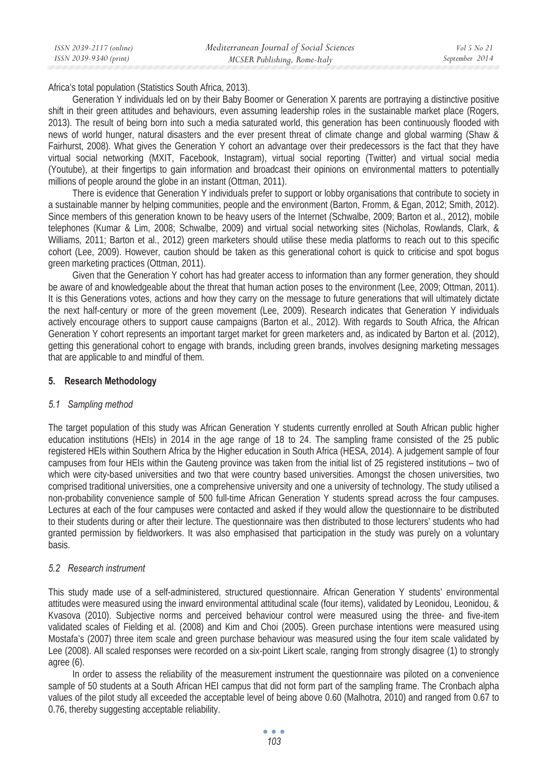Africa's total population (Statistics South Africa, 2013).

Generation Y individuals led on by their Baby Boomer or Generation X parents are portraying a distinctive positive shift in their green attitudes and behaviours, even assuming leadership roles in the sustainable market place (Rogers, 2013). The result of being born into such a media saturated world, this generation has been continuously flooded with news of world hunger, natural disasters and the ever present threat of climate change and global warming (Shaw & Fairhurst, 2008). What gives the Generation Y cohort an advantage over their predecessors is the fact that they have virtual social networking (MXIT, Facebook, Instagram), virtual social reporting (Twitter) and virtual social media (Youtube), at their fingertips to gain information and broadcast their opinions on environmental matters to potentially millions of people around the globe in an instant (Ottman, 2011).

There is evidence that Generation Y individuals prefer to support or lobby organisations that contribute to society in a sustainable manner by helping communities, people and the environment (Barton, Fromm, & Egan, 2012; Smith, 2012). Since members of this generation known to be heavy users of the Internet (Schwalbe, 2009; Barton et al., 2012), mobile telephones (Kumar & Lim, 2008; Schwalbe, 2009) and virtual social networking sites (Nicholas, Rowlands, Clark, & Williams*,* 2011; Barton et al., 2012) green marketers should utilise these media platforms to reach out to this specific cohort (Lee, 2009). However, caution should be taken as this generational cohort is quick to criticise and spot bogus green marketing practices (Ottman, 2011).

Given that the Generation Y cohort has had greater access to information than any former generation, they should be aware of and knowledgeable about the threat that human action poses to the environment (Lee, 2009; Ottman, 2011). It is this Generations votes, actions and how they carry on the message to future generations that will ultimately dictate the next half-century or more of the green movement (Lee, 2009). Research indicates that Generation Y individuals actively encourage others to support cause campaigns (Barton et al., 2012). With regards to South Africa, the African Generation Y cohort represents an important target market for green marketers and, as indicated by Barton et al. (2012), getting this generational cohort to engage with brands, including green brands, involves designing marketing messages that are applicable to and mindful of them.

### **5. Research Methodology**

### *5.1 Sampling method*

The target population of this study was African Generation Y students currently enrolled at South African public higher education institutions (HEIs) in 2014 in the age range of 18 to 24. The sampling frame consisted of the 25 public registered HEIs within Southern Africa by the Higher education in South Africa (HESA, 2014). A judgement sample of four campuses from four HEIs within the Gauteng province was taken from the initial list of 25 registered institutions – two of which were city-based universities and two that were country based universities. Amongst the chosen universities, two comprised traditional universities, one a comprehensive university and one a university of technology. The study utilised a non-probability convenience sample of 500 full-time African Generation Y students spread across the four campuses. Lectures at each of the four campuses were contacted and asked if they would allow the questionnaire to be distributed to their students during or after their lecture. The questionnaire was then distributed to those lecturers' students who had granted permission by fieldworkers. It was also emphasised that participation in the study was purely on a voluntary basis.

## *5.2 Research instrument*

This study made use of a self-administered, structured questionnaire. African Generation Y students' environmental attitudes were measured using the inward environmental attitudinal scale (four items), validated by Leonidou, Leonidou, & Kvasova (2010). Subjective norms and perceived behaviour control were measured using the three- and five-item validated scales of Fielding et al. (2008) and Kim and Choi (2005). Green purchase intentions were measured using Mostafa's (2007) three item scale and green purchase behaviour was measured using the four item scale validated by Lee (2008). All scaled responses were recorded on a six-point Likert scale, ranging from strongly disagree (1) to strongly agree (6).

In order to assess the reliability of the measurement instrument the questionnaire was piloted on a convenience sample of 50 students at a South African HEI campus that did not form part of the sampling frame. The Cronbach alpha values of the pilot study all exceeded the acceptable level of being above 0.60 (Malhotra, 2010) and ranged from 0.67 to 0.76, thereby suggesting acceptable reliability.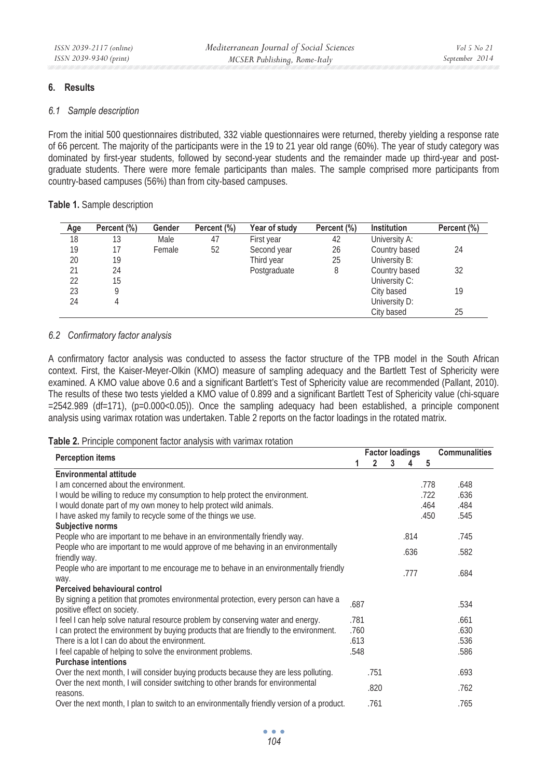## **6. Results**

### *6.1 Sample description*

From the initial 500 questionnaires distributed, 332 viable questionnaires were returned, thereby yielding a response rate of 66 percent. The majority of the participants were in the 19 to 21 year old range (60%). The year of study category was dominated by first-year students, followed by second-year students and the remainder made up third-year and postgraduate students. There were more female participants than males. The sample comprised more participants from country-based campuses (56%) than from city-based campuses.

### **Table 1.** Sample description

| Age | Percent (%) | Gender | Percent (%) | Year of study | Percent (%) | <b>Institution</b> | Percent (%) |
|-----|-------------|--------|-------------|---------------|-------------|--------------------|-------------|
| 18  | 13          | Male   | 47          | First year    | 42          | University A:      |             |
| 19  | 17          | Female | 52          | Second year   | 26          | Country based      | 24          |
| 20  | 19          |        |             | Third year    | 25          | University B:      |             |
| 21  | 24          |        |             | Postgraduate  | 8           | Country based      | 32          |
| 22  | 15          |        |             |               |             | University C:      |             |
| 23  |             |        |             |               |             | City based         | 19          |
| 24  | 4           |        |             |               |             | University D:      |             |
|     |             |        |             |               |             | City based         | 25          |

## *6.2 Confirmatory factor analysis*

A confirmatory factor analysis was conducted to assess the factor structure of the TPB model in the South African context. First, the Kaiser-Meyer-Olkin (KMO) measure of sampling adequacy and the Bartlett Test of Sphericity were examined. A KMO value above 0.6 and a significant Bartlett's Test of Sphericity value are recommended (Pallant, 2010). The results of these two tests yielded a KMO value of 0.899 and a significant Bartlett Test of Sphericity value (chi-square  $=2542.989$  (df=171), (p=0.000<0.05)). Once the sampling adequacy had been established, a principle component analysis using varimax rotation was undertaken. Table 2 reports on the factor loadings in the rotated matrix.

### **Table 2.** Principle component factor analysis with varimax rotation

|                                                                                                                      |      | <b>Factor loadings</b> |   |      |      | <b>Communalities</b> |
|----------------------------------------------------------------------------------------------------------------------|------|------------------------|---|------|------|----------------------|
| <b>Perception items</b>                                                                                              |      | 2                      | 3 | 4    | 5    |                      |
| <b>Environmental attitude</b>                                                                                        |      |                        |   |      |      |                      |
| Lam concerned about the environment.                                                                                 |      |                        |   |      | .778 | .648                 |
| I would be willing to reduce my consumption to help protect the environment.                                         |      |                        |   |      | .722 | .636                 |
| I would donate part of my own money to help protect wild animals.                                                    |      |                        |   |      | .464 | .484                 |
| I have asked my family to recycle some of the things we use.                                                         |      |                        |   |      | .450 | .545                 |
| Subjective norms                                                                                                     |      |                        |   |      |      |                      |
| People who are important to me behave in an environmentally friendly way.                                            |      |                        |   | .814 |      | .745                 |
| People who are important to me would approve of me behaving in an environmentally                                    |      |                        |   | .636 |      | .582                 |
| friendly way.                                                                                                        |      |                        |   |      |      |                      |
| People who are important to me encourage me to behave in an environmentally friendly                                 |      |                        |   | .777 |      | .684                 |
| way.                                                                                                                 |      |                        |   |      |      |                      |
| Perceived behavioural control                                                                                        |      |                        |   |      |      |                      |
| By signing a petition that promotes environmental protection, every person can have a<br>positive effect on society. | .687 |                        |   |      |      | .534                 |
| I feel I can help solve natural resource problem by conserving water and energy.                                     | .781 |                        |   |      |      | .661                 |
| I can protect the environment by buying products that are friendly to the environment.                               | .760 |                        |   |      |      | .630                 |
| There is a lot I can do about the environment.                                                                       | .613 |                        |   |      |      | .536                 |
| I feel capable of helping to solve the environment problems.                                                         | .548 |                        |   |      |      | .586                 |
| <b>Purchase intentions</b>                                                                                           |      |                        |   |      |      |                      |
| Over the next month, I will consider buying products because they are less polluting.                                |      | .751                   |   |      |      | .693                 |
| Over the next month, I will consider switching to other brands for environmental<br>reasons.                         |      | .820                   |   |      |      | .762                 |
| Over the next month, I plan to switch to an environmentally friendly version of a product.                           |      | .761                   |   |      |      | .765                 |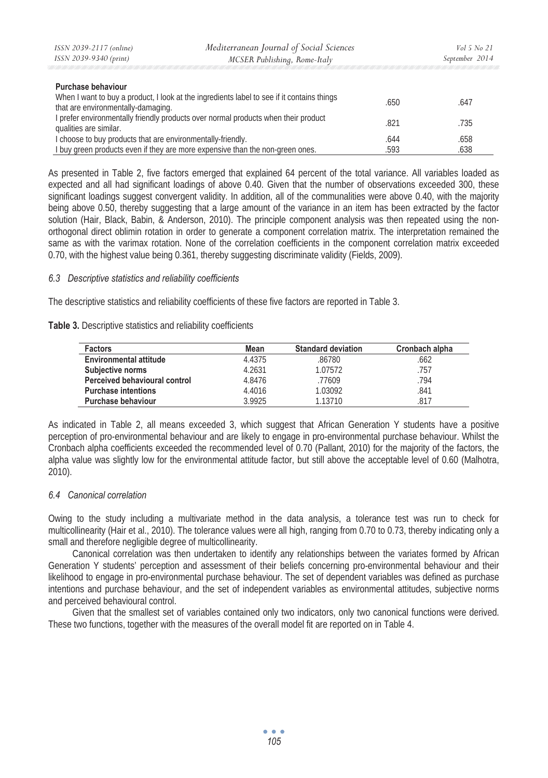| ISSN 2039-2117 (online)                                     | Mediterranean Journal of Social Sciences                                                   |      | Vol 5 No 21    |
|-------------------------------------------------------------|--------------------------------------------------------------------------------------------|------|----------------|
| ISSN 2039-9340 (print)                                      | MCSER Publishing, Rome-Italy                                                               |      | September 2014 |
|                                                             |                                                                                            |      |                |
| Purchase behaviour                                          |                                                                                            |      |                |
| that are environmentally-damaging.                          | When I want to buy a product, I look at the ingredients label to see if it contains things | .650 | .647           |
|                                                             | I prefer environmentally friendly products over normal products when their product         |      |                |
| qualities are similar.                                      |                                                                                            | .821 | .735           |
| I choose to buy products that are environmentally-friendly. |                                                                                            | .644 | .658           |
|                                                             | I buy green products even if they are more expensive than the non-green ones.              | .593 | .638           |

As presented in Table 2, five factors emerged that explained 64 percent of the total variance. All variables loaded as expected and all had significant loadings of above 0.40. Given that the number of observations exceeded 300, these significant loadings suggest convergent validity. In addition, all of the communalities were above 0.40, with the majority being above 0.50, thereby suggesting that a large amount of the variance in an item has been extracted by the factor solution (Hair, Black, Babin, & Anderson, 2010). The principle component analysis was then repeated using the nonorthogonal direct oblimin rotation in order to generate a component correlation matrix. The interpretation remained the same as with the varimax rotation. None of the correlation coefficients in the component correlation matrix exceeded 0.70, with the highest value being 0.361, thereby suggesting discriminate validity (Fields, 2009).

### *6.3 Descriptive statistics and reliability coefficients*

The descriptive statistics and reliability coefficients of these five factors are reported in Table 3.

**Table 3.** Descriptive statistics and reliability coefficients

| <b>Factors</b>                | Mean   | <b>Standard deviation</b> | Cronbach alpha |
|-------------------------------|--------|---------------------------|----------------|
| <b>Environmental attitude</b> | 4.4375 | .86780                    | .662           |
| Subjective norms              | 4.2631 | 1.07572                   | .757           |
| Perceived behavioural control | 4.8476 | .77609                    | 794            |
| <b>Purchase intentions</b>    | 4.4016 | 1.03092                   | 841            |
| <b>Purchase behaviour</b>     | 3.9925 | 1.13710                   | 817            |

As indicated in Table 2, all means exceeded 3, which suggest that African Generation Y students have a positive perception of pro-environmental behaviour and are likely to engage in pro-environmental purchase behaviour. Whilst the Cronbach alpha coefficients exceeded the recommended level of 0.70 (Pallant, 2010) for the majority of the factors, the alpha value was slightly low for the environmental attitude factor, but still above the acceptable level of 0.60 (Malhotra, 2010).

### *6.4 Canonical correlation*

Owing to the study including a multivariate method in the data analysis, a tolerance test was run to check for multicollinearity (Hair et al., 2010). The tolerance values were all high, ranging from 0.70 to 0.73, thereby indicating only a small and therefore negligible degree of multicollinearity.

Canonical correlation was then undertaken to identify any relationships between the variates formed by African Generation Y students' perception and assessment of their beliefs concerning pro-environmental behaviour and their likelihood to engage in pro-environmental purchase behaviour. The set of dependent variables was defined as purchase intentions and purchase behaviour, and the set of independent variables as environmental attitudes, subjective norms and perceived behavioural control.

Given that the smallest set of variables contained only two indicators, only two canonical functions were derived. These two functions, together with the measures of the overall model fit are reported on in Table 4.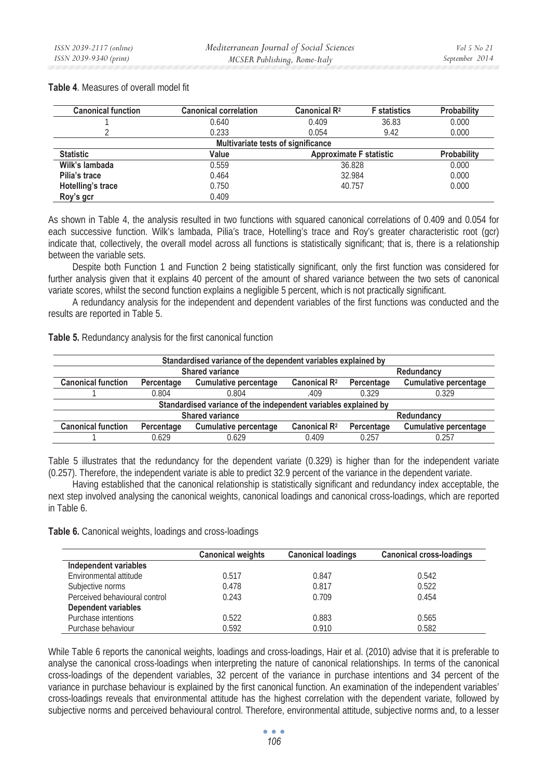### **Table 4**. Measures of overall model fit

| <b>Canonical function</b>          | <b>Canonical correlation</b> | Canonical R <sup>2</sup>       | <b>F</b> statistics | Probability        |  |  |  |  |
|------------------------------------|------------------------------|--------------------------------|---------------------|--------------------|--|--|--|--|
|                                    | 0.640                        | 0.409                          | 36.83               | 0.000              |  |  |  |  |
|                                    | 0.233                        | 0.054                          | 9.42                | 0.000              |  |  |  |  |
| Multivariate tests of significance |                              |                                |                     |                    |  |  |  |  |
| <b>Statistic</b>                   | Value                        | <b>Approximate F statistic</b> |                     | <b>Probability</b> |  |  |  |  |
| Wilk's lambada                     | 0.559                        | 36.828                         |                     | 0.000              |  |  |  |  |
| Pilia's trace                      | 0.464                        | 32.984                         |                     | 0.000              |  |  |  |  |
| Hotelling's trace                  | 0.750                        | 40.757                         |                     | 0.000              |  |  |  |  |
| Roy's gcr                          | 0.409                        |                                |                     |                    |  |  |  |  |

As shown in Table 4, the analysis resulted in two functions with squared canonical correlations of 0.409 and 0.054 for each successive function. Wilk's lambada, Pilia's trace, Hotelling's trace and Roy's greater characteristic root (gcr) indicate that, collectively, the overall model across all functions is statistically significant; that is, there is a relationship between the variable sets.

Despite both Function 1 and Function 2 being statistically significant, only the first function was considered for further analysis given that it explains 40 percent of the amount of shared variance between the two sets of canonical variate scores, whilst the second function explains a negligible 5 percent, which is not practically significant.

A redundancy analysis for the independent and dependent variables of the first functions was conducted and the results are reported in Table 5.

#### **Table 5.** Redundancy analysis for the first canonical function

| Standardised variance of the dependent variables explained by   |                                      |                       |                          |                                     |                       |  |  |
|-----------------------------------------------------------------|--------------------------------------|-----------------------|--------------------------|-------------------------------------|-----------------------|--|--|
| <b>Shared variance</b>                                          |                                      |                       |                          |                                     | Redundancv            |  |  |
| <b>Canonical function</b>                                       | Percentage                           | Cumulative percentage | Canonical R <sup>2</sup> | Cumulative percentage<br>Percentage |                       |  |  |
|                                                                 | 0.804                                | 0.804                 | .409                     | 0.329                               | 0.329                 |  |  |
| Standardised variance of the independent variables explained by |                                      |                       |                          |                                     |                       |  |  |
|                                                                 | <b>Shared variance</b><br>Redundancv |                       |                          |                                     |                       |  |  |
| <b>Canonical function</b>                                       | Percentage                           | Cumulative percentage | Canonical R <sup>2</sup> | Percentage                          | Cumulative percentage |  |  |
|                                                                 | 0.629                                | 0.629                 | 0.409                    | 0.257                               | 0.257                 |  |  |

Table 5 illustrates that the redundancy for the dependent variate (0.329) is higher than for the independent variate (0.257). Therefore, the independent variate is able to predict 32.9 percent of the variance in the dependent variate.

Having established that the canonical relationship is statistically significant and redundancy index acceptable, the next step involved analysing the canonical weights, canonical loadings and canonical cross-loadings, which are reported in Table 6.

**Table 6.** Canonical weights, loadings and cross-loadings

|                               | <b>Canonical weights</b> | <b>Canonical loadings</b> | <b>Canonical cross-loadings</b> |
|-------------------------------|--------------------------|---------------------------|---------------------------------|
| Independent variables         |                          |                           |                                 |
| Environmental attitude        | 0.517                    | 0.847                     | 0.542                           |
| Subjective norms              | 0.478                    | 0.817                     | 0.522                           |
| Perceived behavioural control | 0.243                    | 0.709                     | 0.454                           |
| <b>Dependent variables</b>    |                          |                           |                                 |
| Purchase intentions           | 0.522                    | 0.883                     | 0.565                           |
| Purchase behaviour            | 0.592                    | 0.910                     | 0.582                           |

While Table 6 reports the canonical weights, loadings and cross-loadings, Hair et al. (2010) advise that it is preferable to analyse the canonical cross-loadings when interpreting the nature of canonical relationships. In terms of the canonical cross-loadings of the dependent variables, 32 percent of the variance in purchase intentions and 34 percent of the variance in purchase behaviour is explained by the first canonical function. An examination of the independent variables' cross-loadings reveals that environmental attitude has the highest correlation with the dependent variate, followed by subjective norms and perceived behavioural control. Therefore, environmental attitude, subjective norms and, to a lesser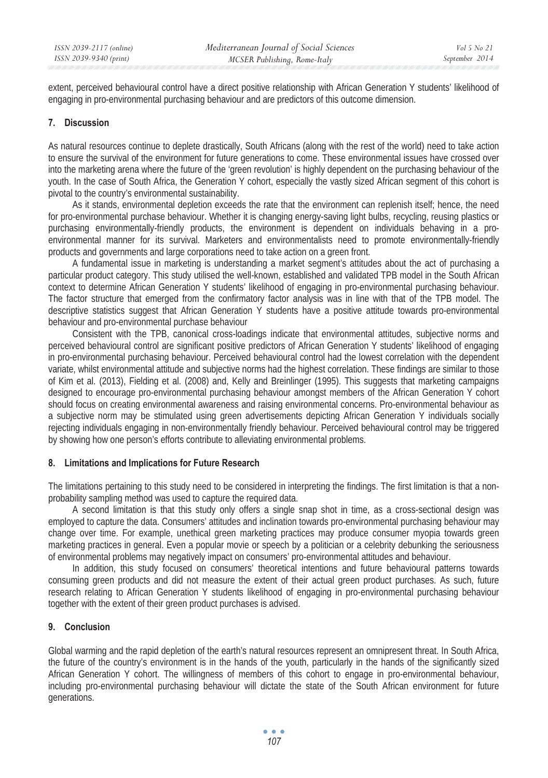extent, perceived behavioural control have a direct positive relationship with African Generation Y students' likelihood of engaging in pro-environmental purchasing behaviour and are predictors of this outcome dimension.

## **7. Discussion**

As natural resources continue to deplete drastically, South Africans (along with the rest of the world) need to take action to ensure the survival of the environment for future generations to come. These environmental issues have crossed over into the marketing arena where the future of the 'green revolution' is highly dependent on the purchasing behaviour of the youth. In the case of South Africa, the Generation Y cohort, especially the vastly sized African segment of this cohort is pivotal to the country's environmental sustainability.

As it stands, environmental depletion exceeds the rate that the environment can replenish itself; hence, the need for pro-environmental purchase behaviour. Whether it is changing energy-saving light bulbs, recycling, reusing plastics or purchasing environmentally-friendly products, the environment is dependent on individuals behaving in a proenvironmental manner for its survival. Marketers and environmentalists need to promote environmentally-friendly products and governments and large corporations need to take action on a green front.

A fundamental issue in marketing is understanding a market segment's attitudes about the act of purchasing a particular product category. This study utilised the well-known, established and validated TPB model in the South African context to determine African Generation Y students' likelihood of engaging in pro-environmental purchasing behaviour. The factor structure that emerged from the confirmatory factor analysis was in line with that of the TPB model. The descriptive statistics suggest that African Generation Y students have a positive attitude towards pro-environmental behaviour and pro-environmental purchase behaviour

Consistent with the TPB, canonical cross-loadings indicate that environmental attitudes, subjective norms and perceived behavioural control are significant positive predictors of African Generation Y students' likelihood of engaging in pro-environmental purchasing behaviour. Perceived behavioural control had the lowest correlation with the dependent variate, whilst environmental attitude and subjective norms had the highest correlation. These findings are similar to those of Kim et al*.* (2013), Fielding et al*.* (2008) and, Kelly and Breinlinger (1995). This suggests that marketing campaigns designed to encourage pro-environmental purchasing behaviour amongst members of the African Generation Y cohort should focus on creating environmental awareness and raising environmental concerns. Pro-environmental behaviour as a subjective norm may be stimulated using green advertisements depicting African Generation Y individuals socially rejecting individuals engaging in non-environmentally friendly behaviour. Perceived behavioural control may be triggered by showing how one person's efforts contribute to alleviating environmental problems.

### **8. Limitations and Implications for Future Research**

The limitations pertaining to this study need to be considered in interpreting the findings. The first limitation is that a nonprobability sampling method was used to capture the required data.

A second limitation is that this study only offers a single snap shot in time, as a cross-sectional design was employed to capture the data. Consumers' attitudes and inclination towards pro-environmental purchasing behaviour may change over time. For example, unethical green marketing practices may produce consumer myopia towards green marketing practices in general. Even a popular movie or speech by a politician or a celebrity debunking the seriousness of environmental problems may negatively impact on consumers' pro-environmental attitudes and behaviour.

In addition, this study focused on consumers' theoretical intentions and future behavioural patterns towards consuming green products and did not measure the extent of their actual green product purchases. As such, future research relating to African Generation Y students likelihood of engaging in pro-environmental purchasing behaviour together with the extent of their green product purchases is advised.

## **9. Conclusion**

Global warming and the rapid depletion of the earth's natural resources represent an omnipresent threat. In South Africa, the future of the country's environment is in the hands of the youth, particularly in the hands of the significantly sized African Generation Y cohort. The willingness of members of this cohort to engage in pro-environmental behaviour, including pro-environmental purchasing behaviour will dictate the state of the South African environment for future generations.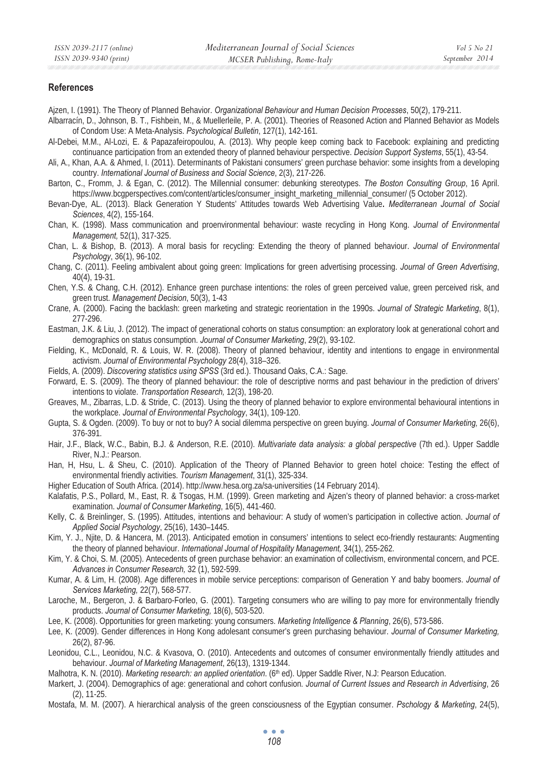#### **References**

Ajzen, I. (1991). The Theory of Planned Behavior. *Organizational Behaviour and Human Decision Processes*, 50(2), 179-211.

- Albarracín, D., Johnson, B. T., Fishbein, M., & Muellerleile, P. A. (2001). Theories of Reasoned Action and Planned Behavior as Models of Condom Use: A Meta-Analysis. *Psychological Bulletin*, 127(1), 142-161*.*
- Al-Debei, M.M., Al-Lozi, E. & Papazafeiropoulou, A. (2013). Why people keep coming back to Facebook: explaining and predicting continuance participation from an extended theory of planned behaviour perspective. *Decision Support Systems*, 55(1), 43-54.
- Ali, A., Khan, A.A. & Ahmed, I. (2011). Determinants of Pakistani consumers' green purchase behavior: some insights from a developing country. *International Journal of Business and Social Science*, 2(3), 217-226.
- Barton, C., Fromm, J. & Egan, C. (2012). The Millennial consumer: debunking stereotypes. *The Boston Consulting Group*, 16 April. https://www.bcgperspectives.com/content/articles/consumer\_insight\_marketing\_millennial\_consumer/ (5 October 2012).
- Bevan-Dye, AL. (2013). Black Generation Y Students' Attitudes towards Web Advertising Value**.** *Mediterranean Journal of Social Sciences*, 4(2), 155-164.
- Chan, K. (1998). Mass communication and proenvironmental behaviour: waste recycling in Hong Kong. *Journal of Environmental Management,* 52(1), 317-325.
- Chan, L. & Bishop, B. (2013). A moral basis for recycling: Extending the theory of planned behaviour. *Journal of Environmental Psychology*, 36(1), 96-102.
- Chang, C. (2011). Feeling ambivalent about going green: Implications for green advertising processing. *Journal of Green Advertising*, 40(4), 19-31.
- Chen, Y.S. & Chang, C.H. (2012). Enhance green purchase intentions: the roles of green perceived value, green perceived risk, and green trust. *Management Decision*, 50(3), 1-43
- Crane, A. (2000). Facing the backlash: green marketing and strategic reorientation in the 1990s. *Journal of Strategic Marketing*, 8(1), 277-296.
- Eastman, J.K. & Liu, J. (2012). The impact of generational cohorts on status consumption: an exploratory look at generational cohort and demographics on status consumption. *Journal of Consumer Marketing*, 29(2), 93-102.
- Fielding, K., McDonald, R. & Louis, W. R. (2008). Theory of planned behaviour, identity and intentions to engage in environmental activism. *Journal of Environmental Psychology* 28(4), 318–326.
- Fields, A. (2009). *Discovering statistics using SPSS* (3rd ed.). Thousand Oaks, C.A.: Sage.
- Forward, E. S. (2009). The theory of planned behaviour: the role of descriptive norms and past behaviour in the prediction of drivers' intentions to violate. *Transportation Research,* 12(3), 198-20.
- Greaves, M., Zibarras, L.D. & Stride, C. (2013). Using the theory of planned behavior to explore environmental behavioural intentions in the workplace. *Journal of Environmental Psychology*, 34(1), 109-120.
- Gupta, S. & Ogden. (2009). To buy or not to buy? A social dilemma perspective on green buying. *Journal of Consumer Marketing,* 26(6), 376-391.
- Hair, J.F., Black, W.C., Babin, B.J. & Anderson, R.E. (2010). *Multivariate data analysis: a global perspective* (7th ed.). Upper Saddle River, N.J.: Pearson.
- Han, H, Hsu, L. & Sheu, C. (2010). Application of the Theory of Planned Behavior to green hotel choice: Testing the effect of environmental friendly activities. *Tourism Management*, 31(1), 325-334.
- Higher Education of South Africa. (2014). http://www.hesa.org.za/sa-universities (14 February 2014).
- Kalafatis, P.S., Pollard, M., East, R. & Tsogas, H.M. (1999). Green marketing and Ajzen's theory of planned behavior: a cross-market examination. *Journal of Consumer Marketing*, 16(5), 441-460.
- Kelly, C. & Breinlinger, S. (1995). Attitudes, intentions and behaviour: A study of women's participation in collective action. *Journal of Applied Social Psychology*, 25(16), 1430–1445.
- Kim, Y. J., Njite, D. & Hancera, M. (2013). Anticipated emotion in consumers' intentions to select eco-friendly restaurants: Augmenting the theory of planned behaviour. *International Journal of Hospitality Management,* 34(1), 255-262.
- Kim, Y. & Choi, S. M. (2005). Antecedents of green purchase behavior: an examination of collectivism, environmental concern, and PCE. *Advances in Consumer Research,* 32 (1), 592-599.
- Kumar, A. & Lim, H. (2008). Age differences in mobile service perceptions: comparison of Generation Y and baby boomers. *Journal of Services Marketing,* 22(7), 568-577.
- Laroche, M., Bergeron, J. & Barbaro-Forleo, G. (2001). Targeting consumers who are willing to pay more for environmentally friendly products. *Journal of Consumer Marketing,* 18(6), 503-520.
- Lee, K. (2008). Opportunities for green marketing: young consumers. *Marketing Intelligence & Planning*, 26(6), 573-586.
- Lee, K. (2009). Gender differences in Hong Kong adolesant consumer's green purchasing behaviour. *Journal of Consumer Marketing,*  26(2), 87-96.
- Leonidou, C.L., Leonidou, N.C. & Kvasova, O. (2010). Antecedents and outcomes of consumer environmentally friendly attitudes and behaviour. *Journal of Marketing Management*, 26(13), 1319-1344.
- Malhotra, K. N. (2010). *Marketing research: an applied orientation*. (6<sup>th</sup> ed). Upper Saddle River, N.J: Pearson Education.
- Markert, J. (2004). Demographics of age: generational and cohort confusion*. Journal of Current Issues and Research in Advertising*, 26 (2), 11-25.
- Mostafa, M. M. (2007). A hierarchical analysis of the green consciousness of the Egyptian consumer. *Pschology & Marketing*, 24(5),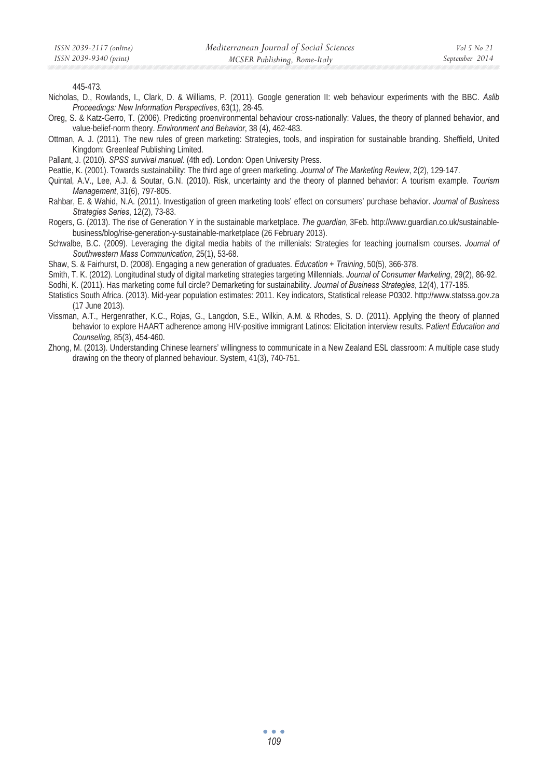445-473.

- Nicholas, D., Rowlands, I., Clark, D. & Williams, P. (2011). Google generation II: web behaviour experiments with the BBC. *Aslib Proceedings: New Information Perspectives*, 63(1), 28-45.
- Oreg, S. & Katz-Gerro, T. (2006). Predicting proenvironmental behaviour cross-nationally: Values, the theory of planned behavior, and value-belief-norm theory. *Environment and Behavior*, 38 (4), 462-483.
- Ottman, A. J. (2011). The new rules of green marketing: Strategies, tools, and inspiration for sustainable branding. Sheffield, United Kingdom: Greenleaf Publishing Limited.
- Pallant, J. (2010). *SPSS survival manual*. (4th ed). London: Open University Press.
- Peattie, K. (2001). Towards sustainability: The third age of green marketing. *Journal of The Marketing Review*, 2(2), 129-147.
- Quintal, A.V., Lee, A.J. & Soutar, G.N. (2010). Risk, uncertainty and the theory of planned behavior: A tourism example. *Tourism Management*, 31(6), 797-805.
- Rahbar, E. & Wahid, N.A. (2011). Investigation of green marketing tools' effect on consumers' purchase behavior. *Journal of Business Strategies Series*, 12(2), 73-83.
- Rogers, G. (2013). The rise of Generation Y in the sustainable marketplace. *The guardian*, 3Feb. http://www.guardian.co.uk/sustainablebusiness/blog/rise-generation-y-sustainable-marketplace (26 February 2013).
- Schwalbe, B.C. (2009). Leveraging the digital media habits of the millenials: Strategies for teaching journalism courses. *Journal of Southwestern Mass Communication*, 25(1), 53-68.
- Shaw, S. & Fairhurst, D. (2008). Engaging a new generation of graduates. *Education + Training*, 50(5), 366-378.
- Smith, T. K. (2012). Longitudinal study of digital marketing strategies targeting Millennials. *Journal of Consumer Marketing*, 29(2), 86-92.
- Sodhi, K. (2011). Has marketing come full circle? Demarketing for sustainability. *Journal of Business Strategies*, 12(4), 177-185.
- Statistics South Africa. (2013). Mid-year population estimates: 2011. Key indicators, Statistical release P0302. http://www.statssa.gov.za (17 June 2013).
- Vissman, A.T., Hergenrather, K.C., Rojas, G., Langdon, S.E., Wilkin, A.M. & Rhodes, S. D. (2011). Applying the theory of planned behavior to explore HAART adherence among HIV-positive immigrant Latinos: Elicitation interview results. P*atient Education and Counseling,* 85(3), 454-460.
- Zhong, M. (2013). Understanding Chinese learners' willingness to communicate in a New Zealand ESL classroom: A multiple case study drawing on the theory of planned behaviour. System, 41(3), 740-751.